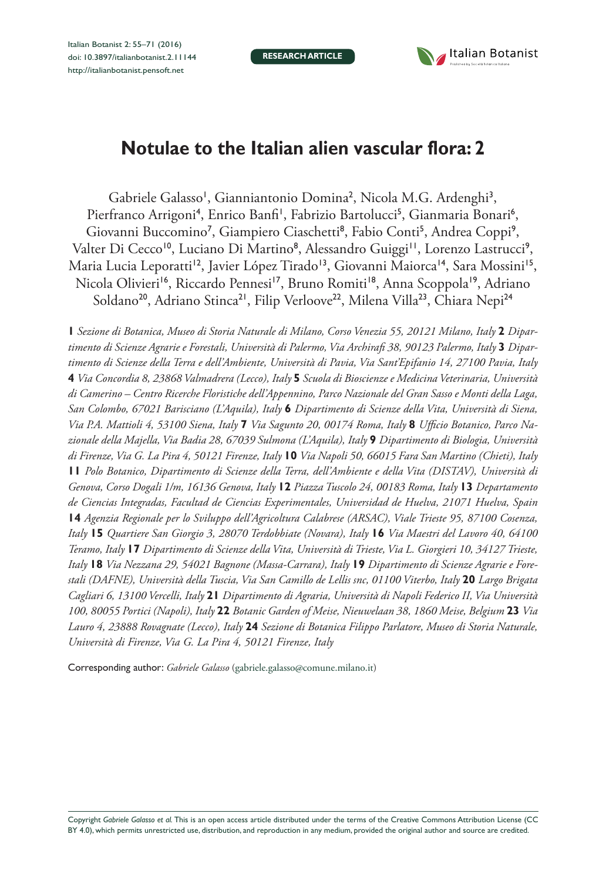**RESEARCH ARTICLE**



# **Notulae to the Italian alien vascular flora: 2**

Gabriele Galasso<sup>1</sup>, Gianniantonio Domina<sup>2</sup>, Nicola M.G. Ardenghi<sup>3</sup>, Pierfranco Arrigoni<sup>4</sup>, Enrico Banfi<sup>1</sup>, Fabrizio Bartolucci<sup>5</sup>, Gianmaria Bonari<sup>6</sup>, Giovanni Buccomino<sup>7</sup>, Giampiero Ciaschetti<sup>8</sup>, Fabio Conti<sup>5</sup>, Andrea Coppi<sup>9</sup>, Valter Di Cecco<sup>10</sup>, Luciano Di Martino<sup>8</sup>, Alessandro Guiggi<sup>11</sup>, Lorenzo Lastrucci<sup>9</sup>, Maria Lucia Leporatti<sup>12</sup>, Javier López Tirado<sup>13</sup>, Giovanni Maiorca<sup>14</sup>, Sara Mossini<sup>15</sup>, Nicola Olivieri<sup>16</sup>, Riccardo Pennesi<sup>17</sup>, Bruno Romiti<sup>18</sup>, Anna Scoppola<sup>19</sup>, Adriano Soldano<sup>20</sup>, Adriano Stinca<sup>21</sup>, Filip Verloove<sup>22</sup>, Milena Villa<sup>23</sup>, Chiara Nepi<sup>24</sup>

**1** *Sezione di Botanica, Museo di Storia Naturale di Milano, Corso Venezia 55, 20121 Milano, Italy* **2** *Dipartimento di Scienze Agrarie e Forestali, Università di Palermo, Via Archirafi 38, 90123 Palermo, Italy* **3** *Dipartimento di Scienze della Terra e dell'Ambiente, Università di Pavia, Via Sant'Epifanio 14, 27100 Pavia, Italy*  **4** *Via Concordia 8, 23868 Valmadrera (Lecco), Italy* **5** *Scuola di Bioscienze e Medicina Veterinaria, Università di Camerino – Centro Ricerche Floristiche dell'Appennino, Parco Nazionale del Gran Sasso e Monti della Laga, San Colombo, 67021 Barisciano (L'Aquila), Italy* **6** *Dipartimento di Scienze della Vita, Università di Siena, Via P.A. Mattioli 4, 53100 Siena, Italy* **7** *Via Sagunto 20, 00174 Roma, Italy* **8** *Ufficio Botanico, Parco Nazionale della Majella, Via Badia 28, 67039 Sulmona (L'Aquila), Italy* **9** *Dipartimento di Biologia, Università di Firenze, Via G. La Pira 4, 50121 Firenze, Italy* **10** *Via Napoli 50, 66015 Fara San Martino (Chieti), Italy*  **11** *Polo Botanico, Dipartimento di Scienze della Terra, dell'Ambiente e della Vita (DISTAV), Università di Genova, Corso Dogali 1/m, 16136 Genova, Italy* **12** *Piazza Tuscolo 24, 00183 Roma, Italy* **13** *Departamento de Ciencias Integradas, Facultad de Ciencias Experimentales, Universidad de Huelva, 21071 Huelva, Spain*  **14** *Agenzia Regionale per lo Sviluppo dell'Agricoltura Calabrese (ARSAC), Viale Trieste 95, 87100 Cosenza, Italy* **15** *Quartiere San Giorgio 3, 28070 Terdobbiate (Novara), Italy* **16** *Via Maestri del Lavoro 40, 64100 Teramo, Italy* **17** *Dipartimento di Scienze della Vita, Università di Trieste, Via L. Giorgieri 10, 34127 Trieste, Italy* **18** *Via Nezzana 29, 54021 Bagnone (Massa-Carrara), Italy* **19** *Dipartimento di Scienze Agrarie e Forestali (DAFNE), Università della Tuscia, Via San Camillo de Lellis snc, 01100 Viterbo, Italy* **20** *Largo Brigata Cagliari 6, 13100 Vercelli, Italy* **21** *Dipartimento di Agraria, Università di Napoli Federico II, Via Università 100, 80055 Portici (Napoli), Italy* **22** *Botanic Garden of Meise, Nieuwelaan 38, 1860 Meise, Belgium* **23** *Via Lauro 4, 23888 Rovagnate (Lecco), Italy* **24** *Sezione di Botanica Filippo Parlatore, Museo di Storia Naturale, Università di Firenze, Via G. La Pira 4, 50121 Firenze, Italy*

Corresponding author: *Gabriele Galasso* ([gabriele.galasso@comune.milano.it](mailto:gabriele.galasso@comune.milano.it))

Copyright *Gabriele Galasso et al.* This is an open access article distributed under the terms of the [Creative Commons Attribution License \(CC](http://creativecommons.org/licenses/by/4.0/)  [BY 4.0\)](http://creativecommons.org/licenses/by/4.0/), which permits unrestricted use, distribution, and reproduction in any medium, provided the original author and source are credited.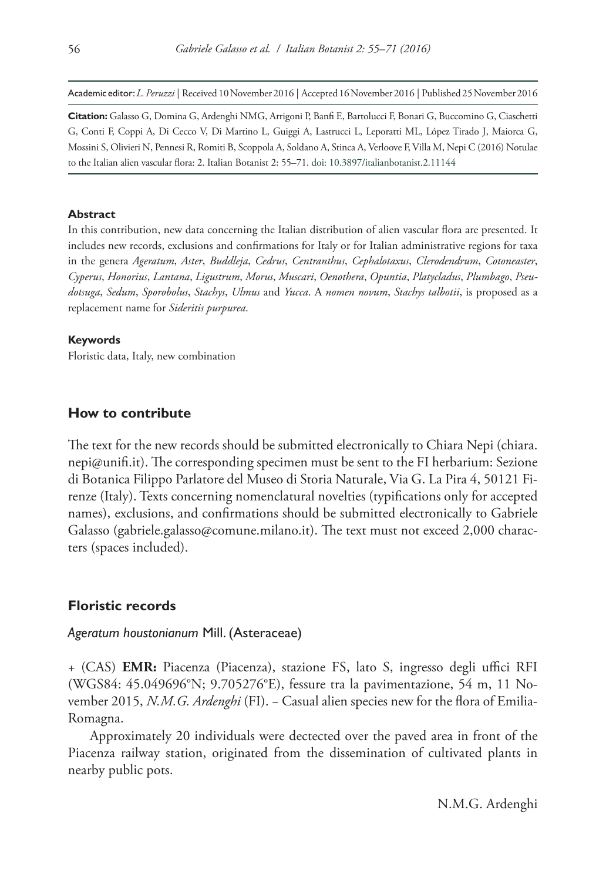Academic editor:*L. Peruzzi* | Received 10 November 2016 | Accepted 16 November 2016 | Published 25 November 2016

**Citation:** Galasso G, Domina G, Ardenghi NMG, Arrigoni P, Banfi E, Bartolucci F, Bonari G, Buccomino G, Ciaschetti G, Conti F, Coppi A, Di Cecco V, Di Martino L, Guiggi A, Lastrucci L, Leporatti ML, López Tirado J, Maiorca G, Mossini S, Olivieri N, Pennesi R, Romiti B, Scoppola A, Soldano A, Stinca A, Verloove F, Villa M, Nepi C (2016) Notulae to the Italian alien vascular flora: 2. Italian Botanist 2: 55–71. [doi: 10.3897/italianbotanist.2.11144](https://doi.org/10.3897/italianbotanist.2.11144)

#### **Abstract**

In this contribution, new data concerning the Italian distribution of alien vascular flora are presented. It includes new records, exclusions and confirmations for Italy or for Italian administrative regions for taxa in the genera *Ageratum*, *Aster*, *Buddleja*, *Cedrus*, *Centranthus*, *Cephalotaxus*, *Clerodendrum*, *Cotoneaster*, *Cyperus*, *Honorius*, *Lantana*, *Ligustrum*, *Morus*, *Muscari*, *Oenothera*, *Opuntia*, *Platycladus*, *Plumbago*, *Pseudotsuga*, *Sedum*, *Sporobolus*, *Stachys*, *Ulmus* and *Yucca*. A *nomen novum*, *Stachys talbotii*, is proposed as a replacement name for *Sideritis purpurea*.

#### **Keywords**

Floristic data, Italy, new combination

## **How to contribute**

The text for the new records should be submitted electronically to Chiara Nepi [\(chiara.](mailto:chiara.nepi@unifi.it) [nepi@unifi.it](mailto:chiara.nepi@unifi.it)). The corresponding specimen must be sent to the FI herbarium: Sezione di Botanica Filippo Parlatore del Museo di Storia Naturale, Via G. La Pira 4, 50121 Firenze (Italy). Texts concerning nomenclatural novelties (typifications only for accepted names), exclusions, and confirmations should be submitted electronically to Gabriele Galasso ([gabriele.galasso@comune.milano.it](mailto:gabriele.galasso@comune.milano.it)). The text must not exceed 2,000 characters (spaces included).

# **Floristic records**

# *Ageratum houstonianum* Mill. (Asteraceae)

+ (CAS) **EMR:** Piacenza (Piacenza), stazione FS, lato S, ingresso degli uffici RFI (WGS84: 45.049696°N; 9.705276°E), fessure tra la pavimentazione, 54 m, 11 November 2015, *N.M.G. Ardenghi* (FI). − Casual alien species new for the flora of Emilia-Romagna.

Approximately 20 individuals were dectected over the paved area in front of the Piacenza railway station, originated from the dissemination of cultivated plants in nearby public pots.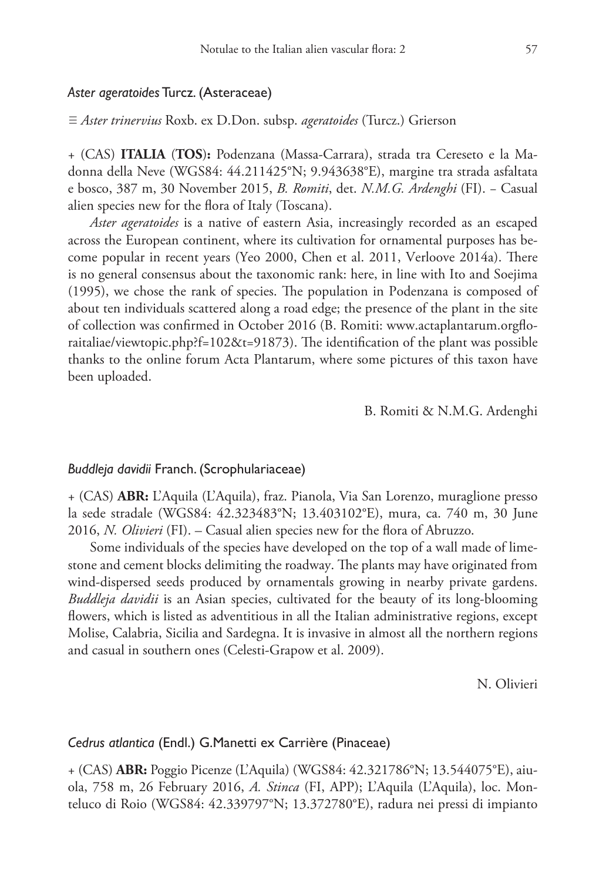## *Aster ageratoides* Turcz. (Asteraceae)

≡ *Aster trinervius* Roxb. ex D.Don. subsp. *ageratoides* (Turcz.) Grierson

+ (CAS) **ITALIA** (**TOS**)**:** Podenzana (Massa-Carrara), strada tra Cereseto e la Madonna della Neve (WGS84: 44.211425°N; 9.943638°E), margine tra strada asfaltata e bosco, 387 m, 30 November 2015, *B. Romiti*, det. *N.M.G. Ardenghi* (FI). − Casual alien species new for the flora of Italy (Toscana).

*Aster ageratoides* is a native of eastern Asia, increasingly recorded as an escaped across the European continent, where its cultivation for ornamental purposes has become popular in recent years (Yeo 2000, Chen et al. 2011, Verloove 2014a). There is no general consensus about the taxonomic rank: here, in line with Ito and Soejima (1995), we chose the rank of species. The population in Podenzana is composed of about ten individuals scattered along a road edge; the presence of the plant in the site of collection was confirmed in October 2016 (B. Romiti: [www.actaplantarum.orgflo](http://www.actaplantarum.orgfloraitaliae/viewtopic.php?f=102&t=91873)[raitaliae/viewtopic.php?f=102&t=91873\)](http://www.actaplantarum.orgfloraitaliae/viewtopic.php?f=102&t=91873). The identification of the plant was possible thanks to the online forum Acta Plantarum, where some pictures of this taxon have been uploaded.

B. Romiti & N.M.G. Ardenghi

## *Buddleja davidii* Franch. (Scrophulariaceae)

+ (CAS) **ABR:** L'Aquila (L'Aquila), fraz. Pianola, Via San Lorenzo, muraglione presso la sede stradale (WGS84: 42.323483°N; 13.403102°E), mura, ca. 740 m, 30 June 2016, *N. Olivieri* (FI). – Casual alien species new for the flora of Abruzzo.

Some individuals of the species have developed on the top of a wall made of limestone and cement blocks delimiting the roadway. The plants may have originated from wind-dispersed seeds produced by ornamentals growing in nearby private gardens. *Buddleja davidii* is an Asian species, cultivated for the beauty of its long-blooming flowers, which is listed as adventitious in all the Italian administrative regions, except Molise, Calabria, Sicilia and Sardegna. It is invasive in almost all the northern regions and casual in southern ones (Celesti-Grapow et al. 2009).

N. Olivieri

## *Cedrus atlantica* (Endl.) G.Manetti ex Carrière (Pinaceae)

+ (CAS) **ABR:** Poggio Picenze (L'Aquila) (WGS84: 42.321786°N; 13.544075°E), aiuola, 758 m, 26 February 2016, *A. Stinca* (FI, APP); L'Aquila (L'Aquila), loc. Monteluco di Roio (WGS84: 42.339797°N; 13.372780°E), radura nei pressi di impianto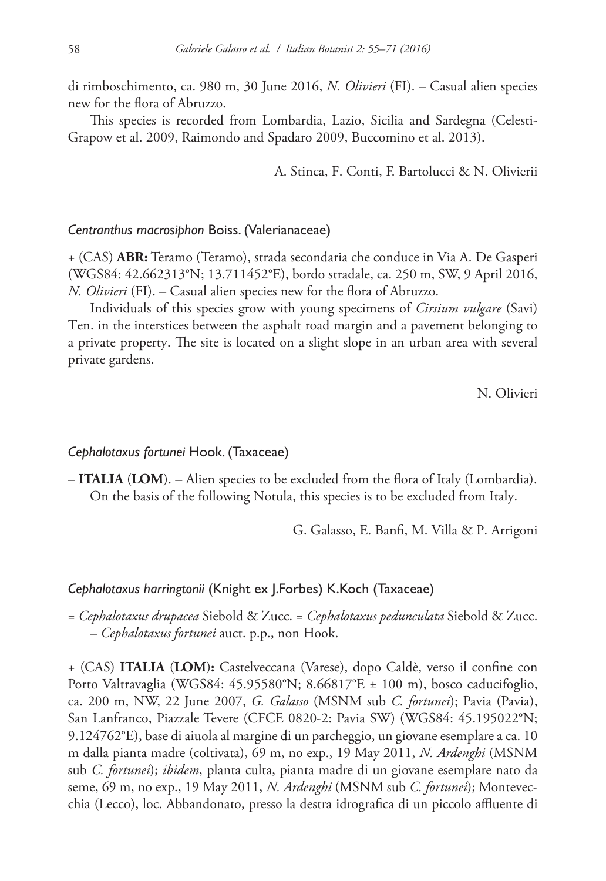di rimboschimento, ca. 980 m, 30 June 2016, *N. Olivieri* (FI). – Casual alien species new for the flora of Abruzzo.

This species is recorded from Lombardia, Lazio, Sicilia and Sardegna (Celesti-Grapow et al. 2009, Raimondo and Spadaro 2009, Buccomino et al. 2013).

A. Stinca, F. Conti, F. Bartolucci & N. Olivierii

## *Centranthus macrosiphon* Boiss. (Valerianaceae)

+ (CAS) **ABR:** Teramo (Teramo), strada secondaria che conduce in Via A. De Gasperi (WGS84: 42.662313°N; 13.711452°E), bordo stradale, ca. 250 m, SW, 9 April 2016, *N. Olivieri* (FI). – Casual alien species new for the flora of Abruzzo.

Individuals of this species grow with young specimens of *Cirsium vulgare* (Savi) Ten. in the interstices between the asphalt road margin and a pavement belonging to a private property. The site is located on a slight slope in an urban area with several private gardens.

N. Olivieri

## *Cephalotaxus fortunei* Hook. (Taxaceae)

– **ITALIA** (**LOM**). – Alien species to be excluded from the flora of Italy (Lombardia). On the basis of the following Notula, this species is to be excluded from Italy.

G. Galasso, E. Banfi, M. Villa & P. Arrigoni

## *Cephalotaxus harringtonii* (Knight ex J.Forbes) K.Koch (Taxaceae)

= *Cephalotaxus drupacea* Siebold & Zucc. = *Cephalotaxus pedunculata* Siebold & Zucc. – *Cephalotaxus fortunei* auct. p.p., non Hook.

+ (CAS) **ITALIA** (**LOM**)**:** Castelveccana (Varese), dopo Caldè, verso il confine con Porto Valtravaglia (WGS84: 45.95580°N; 8.66817°E ± 100 m), bosco caducifoglio, ca. 200 m, NW, 22 June 2007, *G. Galasso* (MSNM sub *C. fortunei*); Pavia (Pavia), San Lanfranco, Piazzale Tevere (CFCE 0820-2: Pavia SW) (WGS84: 45.195022°N; 9.124762°E), base di aiuola al margine di un parcheggio, un giovane esemplare a ca. 10 m dalla pianta madre (coltivata), 69 m, no exp., 19 May 2011, *N. Ardenghi* (MSNM sub *C. fortunei*); *ibidem*, planta culta, pianta madre di un giovane esemplare nato da seme, 69 m, no exp., 19 May 2011, *N. Ardenghi* (MSNM sub *C. fortunei*); Montevecchia (Lecco), loc. Abbandonato, presso la destra idrografica di un piccolo affluente di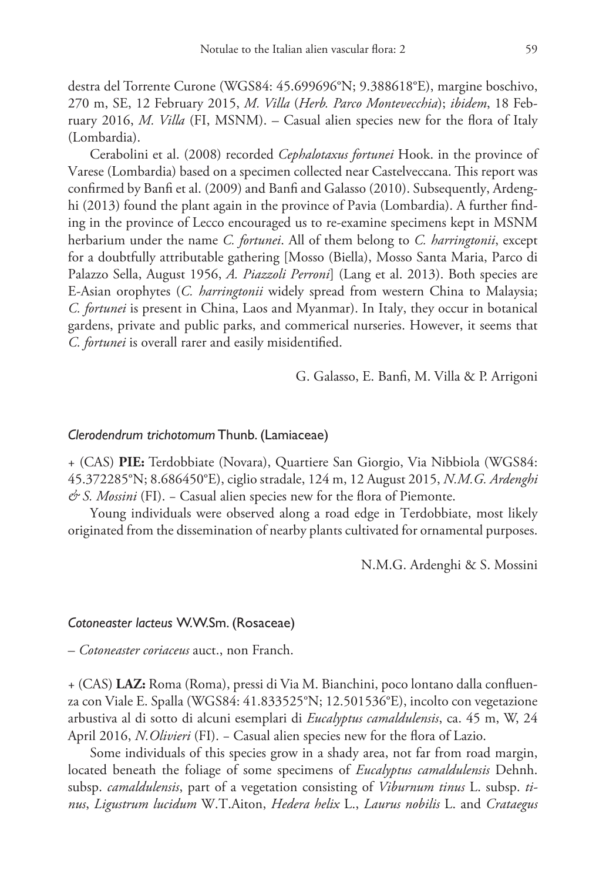destra del Torrente Curone (WGS84: 45.699696°N; 9.388618°E), margine boschivo, 270 m, SE, 12 February 2015, *M. Villa* (*Herb. Parco Montevecchia*); *ibidem*, 18 February 2016, *M. Villa* (FI, MSNM). – Casual alien species new for the flora of Italy (Lombardia).

Cerabolini et al. (2008) recorded *Cephalotaxus fortunei* Hook. in the province of Varese (Lombardia) based on a specimen collected near Castelveccana. This report was confirmed by Banfi et al. (2009) and Banfi and Galasso (2010). Subsequently, Ardenghi (2013) found the plant again in the province of Pavia (Lombardia). A further finding in the province of Lecco encouraged us to re-examine specimens kept in MSNM herbarium under the name *C. fortunei*. All of them belong to *C. harringtonii*, except for a doubtfully attributable gathering [Mosso (Biella), Mosso Santa Maria, Parco di Palazzo Sella, August 1956, *A. Piazzoli Perroni*] (Lang et al. 2013). Both species are E-Asian orophytes (*C. harringtonii* widely spread from western China to Malaysia; *C. fortunei* is present in China, Laos and Myanmar). In Italy, they occur in botanical gardens, private and public parks, and commerical nurseries. However, it seems that *C. fortunei* is overall rarer and easily misidentified.

G. Galasso, E. Banfi, M. Villa & P. Arrigoni

## *Clerodendrum trichotomum* Thunb. (Lamiaceae)

+ (CAS) **PIE:** Terdobbiate (Novara), Quartiere San Giorgio, Via Nibbiola (WGS84: 45.372285°N; 8.686450°E), ciglio stradale, 124 m, 12 August 2015, *N.M.G. Ardenghi & S. Mossini* (FI). – Casual alien species new for the flora of Piemonte.

Young individuals were observed along a road edge in Terdobbiate, most likely originated from the dissemination of nearby plants cultivated for ornamental purposes.

N.M.G. Ardenghi & S. Mossini

#### *Cotoneaster lacteus* W.W.Sm. (Rosaceae)

– *Cotoneaster coriaceus* auct., non Franch.

+ (CAS) **LAZ:** Roma (Roma), pressi di Via M. Bianchini, poco lontano dalla confluenza con Viale E. Spalla (WGS84: 41.833525°N; 12.501536°E), incolto con vegetazione arbustiva al di sotto di alcuni esemplari di *Eucalyptus camaldulensis*, ca. 45 m, W, 24 April 2016, *N.Olivieri* (FI). − Casual alien species new for the flora of Lazio.

Some individuals of this species grow in a shady area, not far from road margin, located beneath the foliage of some specimens of *Eucalyptus camaldulensis* Dehnh. subsp. *camaldulensis*, part of a vegetation consisting of *Viburnum tinus* L. subsp. *tinus*, *Ligustrum lucidum* W.T.Aiton, *Hedera helix* L., *Laurus nobilis* L. and *Crataegus*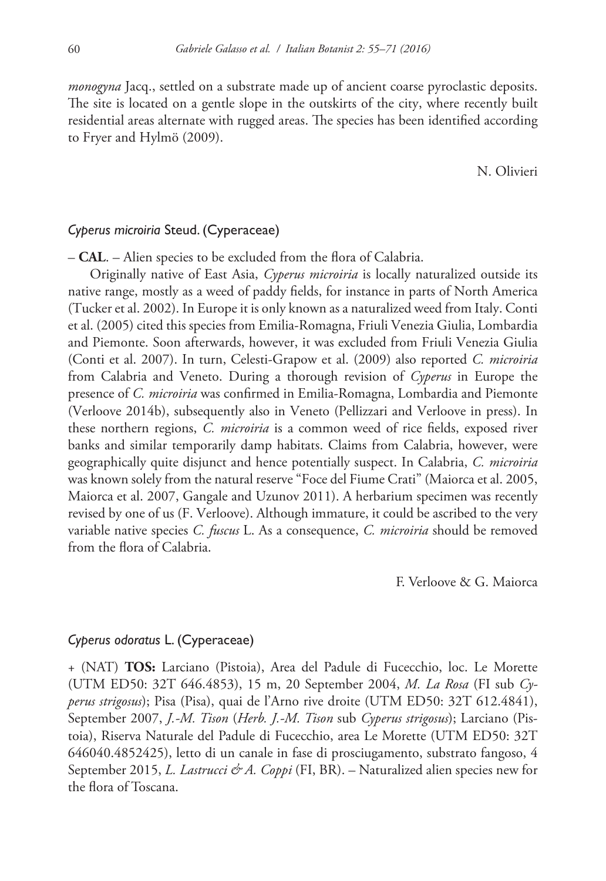*monogyna* Jacq., settled on a substrate made up of ancient coarse pyroclastic deposits. The site is located on a gentle slope in the outskirts of the city, where recently built residential areas alternate with rugged areas. The species has been identified according to Fryer and Hylmö (2009).

N. Olivieri

# *Cyperus microiria* Steud. (Cyperaceae)

– **CAL**. – Alien species to be excluded from the flora of Calabria.

Originally native of East Asia, *Cyperus microiria* is locally naturalized outside its native range, mostly as a weed of paddy fields, for instance in parts of North America (Tucker et al. 2002). In Europe it is only known as a naturalized weed from Italy. Conti et al. (2005) cited this species from Emilia-Romagna, Friuli Venezia Giulia, Lombardia and Piemonte. Soon afterwards, however, it was excluded from Friuli Venezia Giulia (Conti et al. 2007). In turn, Celesti-Grapow et al. (2009) also reported *C. microiria* from Calabria and Veneto. During a thorough revision of *Cyperus* in Europe the presence of *C. microiria* was confirmed in Emilia-Romagna, Lombardia and Piemonte (Verloove 2014b), subsequently also in Veneto (Pellizzari and Verloove in press). In these northern regions, *C. microiria* is a common weed of rice fields, exposed river banks and similar temporarily damp habitats. Claims from Calabria, however, were geographically quite disjunct and hence potentially suspect. In Calabria, *C. microiria* was known solely from the natural reserve "Foce del Fiume Crati" (Maiorca et al. 2005, Maiorca et al. 2007, Gangale and Uzunov 2011). A herbarium specimen was recently revised by one of us (F. Verloove). Although immature, it could be ascribed to the very variable native species *C. fuscus* L. As a consequence, *C. microiria* should be removed from the flora of Calabria.

F. Verloove & G. Maiorca

## *Cyperus odoratus* L. (Cyperaceae)

+ (NAT) **TOS:** Larciano (Pistoia), Area del Padule di Fucecchio, loc. Le Morette (UTM ED50: 32T 646.4853), 15 m, 20 September 2004, *M. La Rosa* (FI sub *Cyperus strigosus*); Pisa (Pisa), quai de l'Arno rive droite (UTM ED50: 32T 612.4841), September 2007, *J.-M. Tison* (*Herb. J.-M. Tison* sub *Cyperus strigosus*); Larciano (Pistoia), Riserva Naturale del Padule di Fucecchio, area Le Morette (UTM ED50: 32T 646040.4852425), letto di un canale in fase di prosciugamento, substrato fangoso, 4 September 2015, *L. Lastrucci & A. Coppi* (FI, BR). – Naturalized alien species new for the flora of Toscana.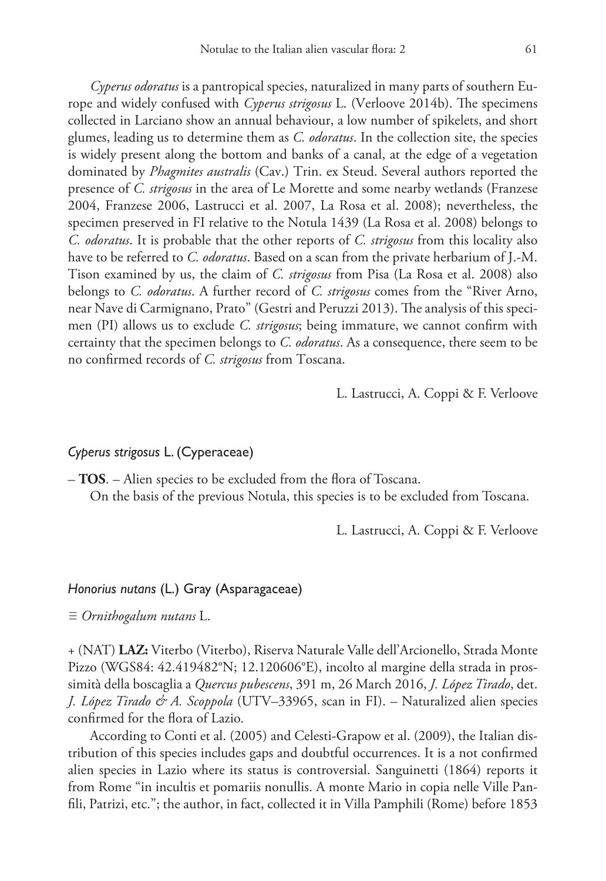*Cyperus odoratus* is a pantropical species, naturalized in many parts of southern Europe and widely confused with *Cyperus strigosus* L. (Verloove 2014b). The specimens collected in Larciano show an annual behaviour, a low number of spikelets, and short glumes, leading us to determine them as *C. odoratus*. In the collection site, the species is widely present along the bottom and banks of a canal, at the edge of a vegetation dominated by *Phagmites australis* (Cav.) Trin. ex Steud. Several authors reported the presence of *C. strigosus* in the area of Le Morette and some nearby wetlands (Franzese 2004, Franzese 2006, Lastrucci et al. 2007, La Rosa et al. 2008); nevertheless, the specimen preserved in FI relative to the Notula 1439 (La Rosa et al. 2008) belongs to *C. odoratus*. It is probable that the other reports of *C. strigosus* from this locality also have to be referred to *C. odoratus*. Based on a scan from the private herbarium of J.-M. Tison examined by us, the claim of *C. strigosus* from Pisa (La Rosa et al. 2008) also belongs to *C. odoratus*. A further record of *C. strigosus* comes from the "River Arno, near Nave di Carmignano, Prato" (Gestri and Peruzzi 2013). The analysis of this specimen (PI) allows us to exclude *C. strigosus*; being immature, we cannot confirm with certainty that the specimen belongs to *C. odoratus*. As a consequence, there seem to be no confirmed records of *C. strigosus* from Toscana.

L. Lastrucci, A. Coppi & F. Verloove

# *Cyperus strigosus* L. (Cyperaceae)

– **TOS**. – Alien species to be excluded from the flora of Toscana. On the basis of the previous Notula, this species is to be excluded from Toscana.

L. Lastrucci, A. Coppi & F. Verloove

## *Honorius nutans* (L.) Gray (Asparagaceae)

≡ *Ornithogalum nutans* L.

+ (NAT) **LAZ:** Viterbo (Viterbo), Riserva Naturale Valle dell'Arcionello, Strada Monte Pizzo (WGS84: 42.419482°N; 12.120606°E), incolto al margine della strada in prossimità della boscaglia a *Quercus pubescens*, 391 m, 26 March 2016, *J. López Tirado*, det. *J. López Tirado & A. Scoppola* (UTV–33965, scan in FI). – Naturalized alien species confirmed for the flora of Lazio.

According to Conti et al. (2005) and Celesti-Grapow et al. (2009), the Italian distribution of this species includes gaps and doubtful occurrences. It is a not confirmed alien species in Lazio where its status is controversial. Sanguinetti (1864) reports it from Rome "in incultis et pomariis nonullis. A monte Mario in copia nelle Ville Panfili, Patrizi, etc."; the author, in fact, collected it in Villa Pamphili (Rome) before 1853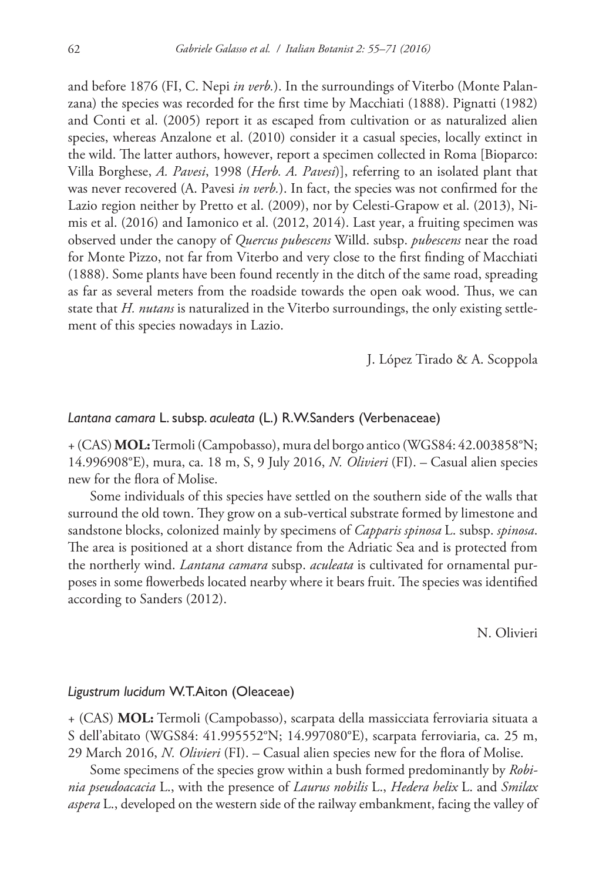and before 1876 (FI, C. Nepi *in verb.*). In the surroundings of Viterbo (Monte Palanzana) the species was recorded for the first time by Macchiati (1888). Pignatti (1982) and Conti et al. (2005) report it as escaped from cultivation or as naturalized alien species, whereas Anzalone et al. (2010) consider it a casual species, locally extinct in the wild. The latter authors, however, report a specimen collected in Roma [Bioparco: Villa Borghese, *A. Pavesi*, 1998 (*Herb. A. Pavesi*)], referring to an isolated plant that was never recovered (A. Pavesi *in verb.*). In fact, the species was not confirmed for the Lazio region neither by Pretto et al. (2009), nor by Celesti-Grapow et al. (2013), Nimis et al. (2016) and Iamonico et al. (2012, 2014). Last year, a fruiting specimen was observed under the canopy of *Quercus pubescens* Willd. subsp. *pubescens* near the road for Monte Pizzo, not far from Viterbo and very close to the first finding of Macchiati (1888). Some plants have been found recently in the ditch of the same road, spreading as far as several meters from the roadside towards the open oak wood. Thus, we can state that *H. nutans* is naturalized in the Viterbo surroundings, the only existing settlement of this species nowadays in Lazio.

J. López Tirado & A. Scoppola

# *Lantana camara* L. subsp. *aculeata* (L.) R.W.Sanders (Verbenaceae)

+ (CAS) **MOL:** Termoli (Campobasso), mura del borgo antico (WGS84: 42.003858°N; 14.996908°E), mura, ca. 18 m, S, 9 July 2016, *N. Olivieri* (FI). – Casual alien species new for the flora of Molise.

Some individuals of this species have settled on the southern side of the walls that surround the old town. They grow on a sub-vertical substrate formed by limestone and sandstone blocks, colonized mainly by specimens of *Capparis spinosa* L. subsp. *spinosa*. The area is positioned at a short distance from the Adriatic Sea and is protected from the northerly wind. *Lantana camara* subsp. *aculeata* is cultivated for ornamental purposes in some flowerbeds located nearby where it bears fruit. The species was identified according to Sanders (2012).

N. Olivieri

### *Ligustrum lucidum* W.T.Aiton (Oleaceae)

+ (CAS) **MOL:** Termoli (Campobasso), scarpata della massicciata ferroviaria situata a S dell'abitato (WGS84: 41.995552°N; 14.997080°E), scarpata ferroviaria, ca. 25 m, 29 March 2016, *N. Olivieri* (FI). – Casual alien species new for the flora of Molise.

Some specimens of the species grow within a bush formed predominantly by *Robinia pseudoacacia* L., with the presence of *Laurus nobilis* L., *Hedera helix* L. and *Smilax aspera* L., developed on the western side of the railway embankment, facing the valley of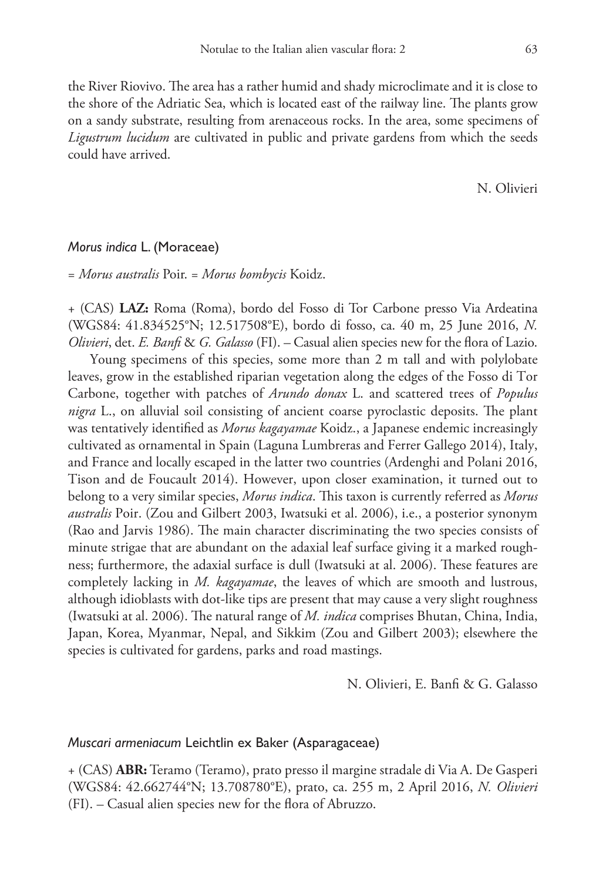the River Riovivo. The area has a rather humid and shady microclimate and it is close to the shore of the Adriatic Sea, which is located east of the railway line. The plants grow on a sandy substrate, resulting from arenaceous rocks. In the area, some specimens of *Ligustrum lucidum* are cultivated in public and private gardens from which the seeds could have arrived.

N. Olivieri

#### *Morus indica* L. (Moraceae)

= *Morus australis* Poir. = *Morus bombycis* Koidz.

+ (CAS) **LAZ:** Roma (Roma), bordo del Fosso di Tor Carbone presso Via Ardeatina (WGS84: 41.834525°N; 12.517508°E), bordo di fosso, ca. 40 m, 25 June 2016, *N. Olivieri*, det. *E. Banfi* & *G. Galasso* (FI). – Casual alien species new for the flora of Lazio.

Young specimens of this species, some more than 2 m tall and with polylobate leaves, grow in the established riparian vegetation along the edges of the Fosso di Tor Carbone, together with patches of *Arundo donax* L. and scattered trees of *Populus nigra* L., on alluvial soil consisting of ancient coarse pyroclastic deposits. The plant was tentatively identified as *Morus kagayamae* Koidz., a Japanese endemic increasingly cultivated as ornamental in Spain (Laguna Lumbreras and Ferrer Gallego 2014), Italy, and France and locally escaped in the latter two countries (Ardenghi and Polani 2016, Tison and de Foucault 2014). However, upon closer examination, it turned out to belong to a very similar species, *Morus indica*. This taxon is currently referred as *Morus australis* Poir. (Zou and Gilbert 2003, Iwatsuki et al. 2006), i.e., a posterior synonym (Rao and Jarvis 1986). The main character discriminating the two species consists of minute strigae that are abundant on the adaxial leaf surface giving it a marked roughness; furthermore, the adaxial surface is dull (Iwatsuki at al. 2006). These features are completely lacking in *M. kagayamae*, the leaves of which are smooth and lustrous, although idioblasts with dot-like tips are present that may cause a very slight roughness (Iwatsuki at al. 2006). The natural range of *M. indica* comprises Bhutan, China, India, Japan, Korea, Myanmar, Nepal, and Sikkim (Zou and Gilbert 2003); elsewhere the species is cultivated for gardens, parks and road mastings.

N. Olivieri, E. Banfi & G. Galasso

## *Muscari armeniacum* Leichtlin ex Baker (Asparagaceae)

+ (CAS) **ABR:** Teramo (Teramo), prato presso il margine stradale di Via A. De Gasperi (WGS84: 42.662744°N; 13.708780°E), prato, ca. 255 m, 2 April 2016, *N. Olivieri* (FI). – Casual alien species new for the flora of Abruzzo.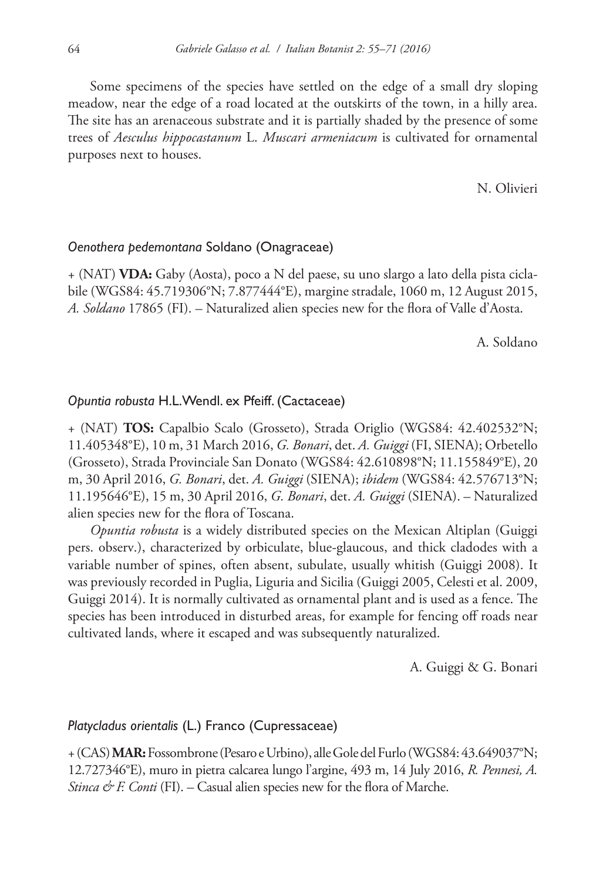Some specimens of the species have settled on the edge of a small dry sloping meadow, near the edge of a road located at the outskirts of the town, in a hilly area. The site has an arenaceous substrate and it is partially shaded by the presence of some trees of *Aesculus hippocastanum* L. *Muscari armeniacum* is cultivated for ornamental purposes next to houses.

N. Olivieri

## *Oenothera pedemontana* Soldano (Onagraceae)

+ (NAT) **VDA:** Gaby (Aosta), poco a N del paese, su uno slargo a lato della pista ciclabile (WGS84: 45.719306°N; 7.877444°E), margine stradale, 1060 m, 12 August 2015, *A. Soldano* 17865 (FI). – Naturalized alien species new for the flora of Valle d'Aosta.

A. Soldano

## *Opuntia robusta* H.L.Wendl. ex Pfeiff. (Cactaceae)

+ (NAT) **TOS:** Capalbio Scalo (Grosseto), Strada Origlio (WGS84: 42.402532°N; 11.405348°E), 10 m, 31 March 2016, *G. Bonari*, det. *A. Guiggi* (FI, SIENA); Orbetello (Grosseto), Strada Provinciale San Donato (WGS84: 42.610898°N; 11.155849°E), 20 m, 30 April 2016, *G. Bonari*, det. *A. Guiggi* (SIENA); *ibidem* (WGS84: 42.576713°N; 11.195646°E), 15 m, 30 April 2016, *G. Bonari*, det. *A. Guiggi* (SIENA). – Naturalized alien species new for the flora of Toscana.

*Opuntia robusta* is a widely distributed species on the Mexican Altiplan (Guiggi pers. observ.), characterized by orbiculate, blue-glaucous, and thick cladodes with a variable number of spines, often absent, subulate, usually whitish (Guiggi 2008). It was previously recorded in Puglia, Liguria and Sicilia (Guiggi 2005, Celesti et al. 2009, Guiggi 2014). It is normally cultivated as ornamental plant and is used as a fence. The species has been introduced in disturbed areas, for example for fencing off roads near cultivated lands, where it escaped and was subsequently naturalized.

A. Guiggi & G. Bonari

## *Platycladus orientalis* (L.) Franco (Cupressaceae)

+ (CAS) **MAR:** Fossombrone (Pesaro e Urbino), alle Gole del Furlo (WGS84: 43.649037°N; 12.727346°E), muro in pietra calcarea lungo l'argine, 493 m, 14 July 2016, *R. Pennesi, A. Stinca & F. Conti* (FI). – Casual alien species new for the flora of Marche.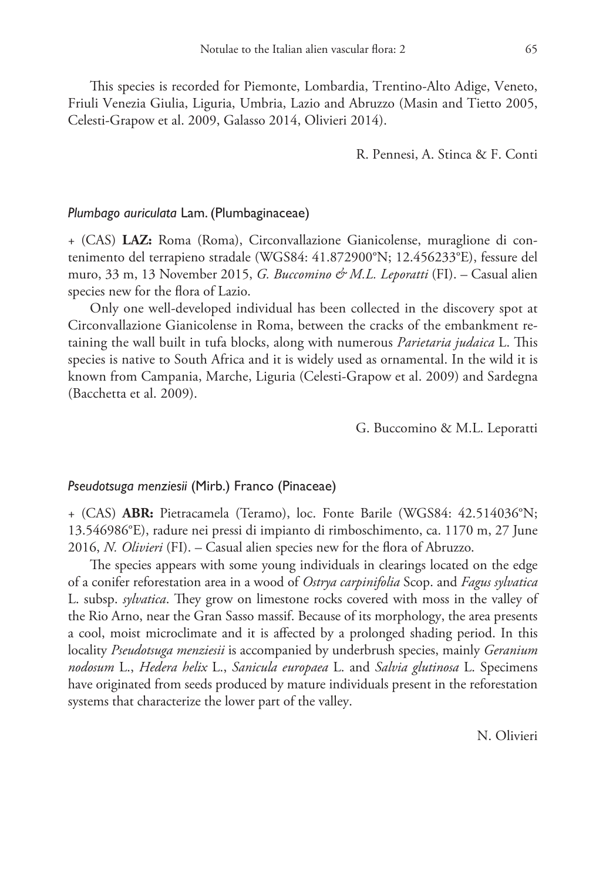This species is recorded for Piemonte, Lombardia, Trentino-Alto Adige, Veneto, Friuli Venezia Giulia, Liguria, Umbria, Lazio and Abruzzo (Masin and Tietto 2005, Celesti-Grapow et al. 2009, Galasso 2014, Olivieri 2014).

R. Pennesi, A. Stinca & F. Conti

## *Plumbago auriculata* Lam. (Plumbaginaceae)

+ (CAS) **LAZ:** Roma (Roma), Circonvallazione Gianicolense, muraglione di contenimento del terrapieno stradale (WGS84: 41.872900°N; 12.456233°E), fessure del muro, 33 m, 13 November 2015, *G. Buccomino & M.L. Leporatti* (FI). – Casual alien species new for the flora of Lazio.

Only one well-developed individual has been collected in the discovery spot at Circonvallazione Gianicolense in Roma, between the cracks of the embankment retaining the wall built in tufa blocks, along with numerous *Parietaria judaica* L. This species is native to South Africa and it is widely used as ornamental. In the wild it is known from Campania, Marche, Liguria (Celesti-Grapow et al. 2009) and Sardegna (Bacchetta et al. 2009).

G. Buccomino & M.L. Leporatti

## *Pseudotsuga menziesii* (Mirb.) Franco (Pinaceae)

+ (CAS) **ABR:** Pietracamela (Teramo), loc. Fonte Barile (WGS84: 42.514036°N; 13.546986°E), radure nei pressi di impianto di rimboschimento, ca. 1170 m, 27 June 2016, *N. Olivieri* (FI). – Casual alien species new for the flora of Abruzzo.

The species appears with some young individuals in clearings located on the edge of a conifer reforestation area in a wood of *Ostrya carpinifolia* Scop. and *Fagus sylvatica* L. subsp. *sylvatica*. They grow on limestone rocks covered with moss in the valley of the Rio Arno, near the Gran Sasso massif. Because of its morphology, the area presents a cool, moist microclimate and it is affected by a prolonged shading period. In this locality *Pseudotsuga menziesii* is accompanied by underbrush species, mainly *Geranium nodosum* L., *Hedera helix* L., *Sanicula europaea* L. and *Salvia glutinosa* L. Specimens have originated from seeds produced by mature individuals present in the reforestation systems that characterize the lower part of the valley.

N. Olivieri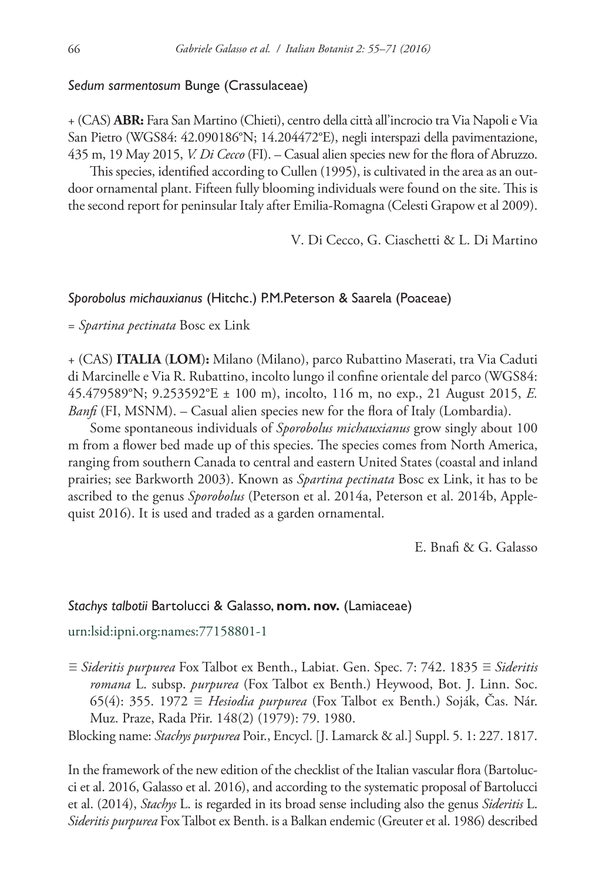## *Sedum sarmentosum* Bunge (Crassulaceae)

+ (CAS) **ABR:** Fara San Martino (Chieti), centro della città all'incrocio tra Via Napoli e Via San Pietro (WGS84: 42.090186°N; 14.204472°E), negli interspazi della pavimentazione, 435 m, 19 May 2015, *V. Di Cecco* (FI). – Casual alien species new for the flora of Abruzzo.

This species, identified according to Cullen (1995), is cultivated in the area as an outdoor ornamental plant. Fifteen fully blooming individuals were found on the site. This is the second report for peninsular Italy after Emilia-Romagna (Celesti Grapow et al 2009).

V. Di Cecco, G. Ciaschetti & L. Di Martino

## *Sporobolus michauxianus* (Hitchc.) P.M.Peterson & Saarela (Poaceae)

= *Spartina pectinata* Bosc ex Link

+ (CAS) **ITALIA** (**LOM**)**:** Milano (Milano), parco Rubattino Maserati, tra Via Caduti di Marcinelle e Via R. Rubattino, incolto lungo il confine orientale del parco (WGS84: 45.479589°N; 9.253592°E ± 100 m), incolto, 116 m, no exp., 21 August 2015, *E. Banfi* (FI, MSNM). – Casual alien species new for the flora of Italy (Lombardia).

Some spontaneous individuals of *Sporobolus michauxianus* grow singly about 100 m from a flower bed made up of this species. The species comes from North America, ranging from southern Canada to central and eastern United States (coastal and inland prairies; see Barkworth 2003). Known as *Spartina pectinata* Bosc ex Link, it has to be ascribed to the genus *Sporobolus* (Peterson et al. 2014a, Peterson et al. 2014b, Applequist 2016). It is used and traded as a garden ornamental.

E. Bnafi & G. Galasso

## *Stachys talbotii* Bartolucci & Galasso, **nom. nov.** (Lamiaceae)

[urn:lsid:ipni.org:names:77158801-1](http://ipni.org/urn:lsid:ipni.org:names:77158801-1)

≡ *Sideritis purpurea* Fox Talbot ex Benth., Labiat. Gen. Spec. 7: 742. 1835 ≡ *Sideritis romana* L. subsp. *purpurea* (Fox Talbot ex Benth.) Heywood, Bot. J. Linn. Soc. 65(4): 355. 1972 ≡ *Hesiodia purpurea* (Fox Talbot ex Benth.) Soják, Čas. Nár. Muz. Praze, Rada Přir. 148(2) (1979): 79. 1980.

Blocking name: *Stachys purpurea* Poir., Encycl. [J. Lamarck & al.] Suppl. 5. 1: 227. 1817.

In the framework of the new edition of the checklist of the Italian vascular flora (Bartolucci et al. 2016, Galasso et al. 2016), and according to the systematic proposal of Bartolucci et al. (2014), *Stachys* L. is regarded in its broad sense including also the genus *Sideritis* L. *Sideritis purpurea* Fox Talbot ex Benth. is a Balkan endemic (Greuter et al. 1986) described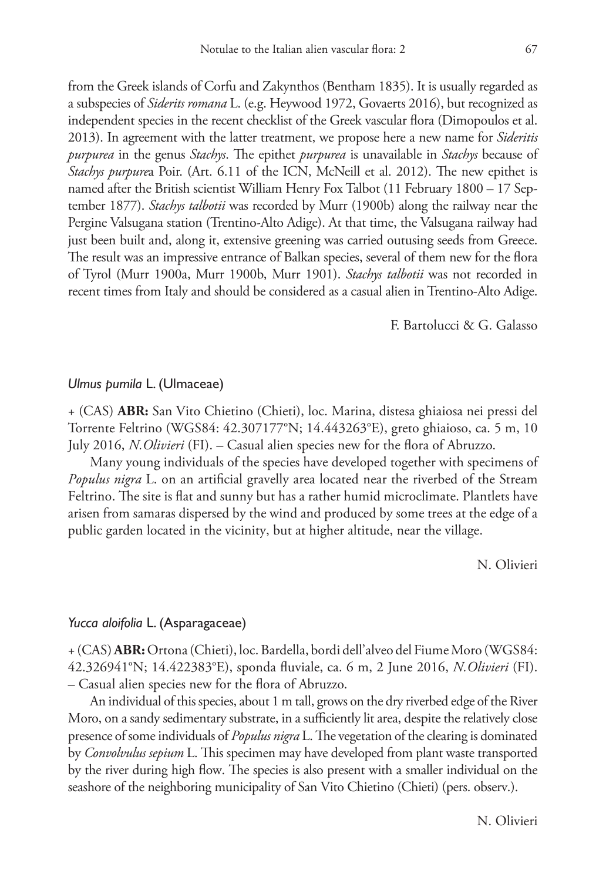from the Greek islands of Corfu and Zakynthos (Bentham 1835). It is usually regarded as a subspecies of *Siderits romana* L. (e.g. Heywood 1972, Govaerts 2016), but recognized as independent species in the recent checklist of the Greek vascular flora (Dimopoulos et al. 2013). In agreement with the latter treatment, we propose here a new name for *Sideritis purpurea* in the genus *Stachys*. The epithet *purpurea* is unavailable in *Stachys* because of *Stachys purpure*a Poir. (Art. 6.11 of the ICN, McNeill et al. 2012). The new epithet is named after the British scientist William Henry Fox Talbot (11 February 1800 – 17 September 1877). *Stachys talbotii* was recorded by Murr (1900b) along the railway near the Pergine Valsugana station (Trentino-Alto Adige). At that time, the Valsugana railway had just been built and, along it, extensive greening was carried outusing seeds from Greece. The result was an impressive entrance of Balkan species, several of them new for the flora of Tyrol (Murr 1900a, Murr 1900b, Murr 1901). *Stachys talbotii* was not recorded in recent times from Italy and should be considered as a casual alien in Trentino-Alto Adige.

F. Bartolucci & G. Galasso

#### *Ulmus pumila* L. (Ulmaceae)

+ (CAS) **ABR:** San Vito Chietino (Chieti), loc. Marina, distesa ghiaiosa nei pressi del Torrente Feltrino (WGS84: 42.307177°N; 14.443263°E), greto ghiaioso, ca. 5 m, 10 July 2016, *N.Olivieri* (FI). – Casual alien species new for the flora of Abruzzo.

Many young individuals of the species have developed together with specimens of *Populus nigra* L. on an artificial gravelly area located near the riverbed of the Stream Feltrino. The site is flat and sunny but has a rather humid microclimate. Plantlets have arisen from samaras dispersed by the wind and produced by some trees at the edge of a public garden located in the vicinity, but at higher altitude, near the village.

N. Olivieri

## *Yucca aloifolia* L. (Asparagaceae)

+ (CAS) **ABR:** Ortona (Chieti), loc. Bardella, bordi dell'alveo del Fiume Moro (WGS84: 42.326941°N; 14.422383°E), sponda fluviale, ca. 6 m, 2 June 2016, *N.Olivieri* (FI). – Casual alien species new for the flora of Abruzzo.

An individual of this species, about 1 m tall, grows on the dry riverbed edge of the River Moro, on a sandy sedimentary substrate, in a sufficiently lit area, despite the relatively close presence of some individuals of *Populus nigra* L. The vegetation of the clearing is dominated by *Convolvulus sepium* L. This specimen may have developed from plant waste transported by the river during high flow. The species is also present with a smaller individual on the seashore of the neighboring municipality of San Vito Chietino (Chieti) (pers. observ.).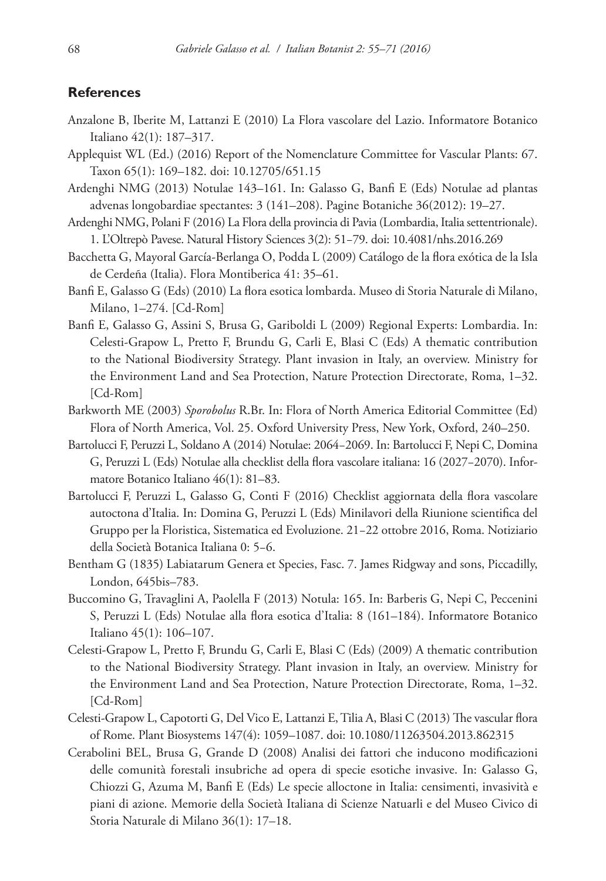# **References**

- Anzalone B, Iberite M, Lattanzi E (2010) La Flora vascolare del Lazio. Informatore Botanico Italiano 42(1): 187–317.
- Applequist WL (Ed.) (2016) Report of the Nomenclature Committee for Vascular Plants: 67. Taxon 65(1): 169–182. [doi: 10.12705/651.15](https://doi.org/10.12705/651.15)
- Ardenghi NMG (2013) Notulae 143–161. In: Galasso G, Banfi E (Eds) Notulae ad plantas advenas longobardiae spectantes: 3 (141–208). Pagine Botaniche 36(2012): 19–27.
- Ardenghi NMG, Polani F (2016) La Flora della provincia di Pavia (Lombardia, Italia settentrionale). 1. L'Oltrepò Pavese. Natural History Sciences 3(2): 51−79. [doi: 10.4081/nhs.2016.269](https://doi.org/10.4081/nhs.2016.269)
- Bacchetta G, Mayoral García-Berlanga O, Podda L (2009) Catálogo de la flora exótica de la Isla de Cerdeña (Italia). Flora Montiberica 41: 35–61.
- Banfi E, Galasso G (Eds) (2010) La flora esotica lombarda. Museo di Storia Naturale di Milano, Milano, 1–274. [Cd-Rom]
- Banfi E, Galasso G, Assini S, Brusa G, Gariboldi L (2009) Regional Experts: Lombardia. In: Celesti-Grapow L, Pretto F, Brundu G, Carli E, Blasi C (Eds) A thematic contribution to the National Biodiversity Strategy. Plant invasion in Italy, an overview. Ministry for the Environment Land and Sea Protection, Nature Protection Directorate, Roma, 1–32. [Cd-Rom]
- Barkworth ME (2003) *Sporobolus* R.Br. In: Flora of North America Editorial Committee (Ed) Flora of North America, Vol. 25. Oxford University Press, New York, Oxford, 240–250.
- Bartolucci F, Peruzzi L, Soldano A (2014) Notulae: 2064−2069. In: Bartolucci F, Nepi C, Domina G, Peruzzi L (Eds) Notulae alla checklist della flora vascolare italiana: 16 (2027−2070). Informatore Botanico Italiano 46(1): 81–83.
- Bartolucci F, Peruzzi L, Galasso G, Conti F (2016) Checklist aggiornata della flora vascolare autoctona d'Italia. In: Domina G, Peruzzi L (Eds) Minilavori della Riunione scientifica del Gruppo per la Floristica, Sistematica ed Evoluzione. 21−22 ottobre 2016, Roma. Notiziario della Società Botanica Italiana 0: 5−6.
- Bentham G (1835) Labiatarum Genera et Species, Fasc. 7. James Ridgway and sons, Piccadilly, London, 645bis–783.
- Buccomino G, Travaglini A, Paolella F (2013) Notula: 165. In: Barberis G, Nepi C, Peccenini S, Peruzzi L (Eds) Notulae alla flora esotica d'Italia: 8 (161–184). Informatore Botanico Italiano 45(1): 106–107.
- Celesti-Grapow L, Pretto F, Brundu G, Carli E, Blasi C (Eds) (2009) A thematic contribution to the National Biodiversity Strategy. Plant invasion in Italy, an overview. Ministry for the Environment Land and Sea Protection, Nature Protection Directorate, Roma, 1–32. [Cd-Rom]
- Celesti-Grapow L, Capotorti G, Del Vico E, Lattanzi E, Tilia A, Blasi C (2013) The vascular flora of Rome. Plant Biosystems 147(4): 1059–1087. [doi: 10.1080/11263504.2013.862315](https://doi.org/10.1080/11263504.2013.862315)
- Cerabolini BEL, Brusa G, Grande D (2008) Analisi dei fattori che inducono modificazioni delle comunità forestali insubriche ad opera di specie esotiche invasive. In: Galasso G, Chiozzi G, Azuma M, Banfi E (Eds) Le specie alloctone in Italia: censimenti, invasività e piani di azione. Memorie della Società Italiana di Scienze Natuarli e del Museo Civico di Storia Naturale di Milano 36(1): 17–18.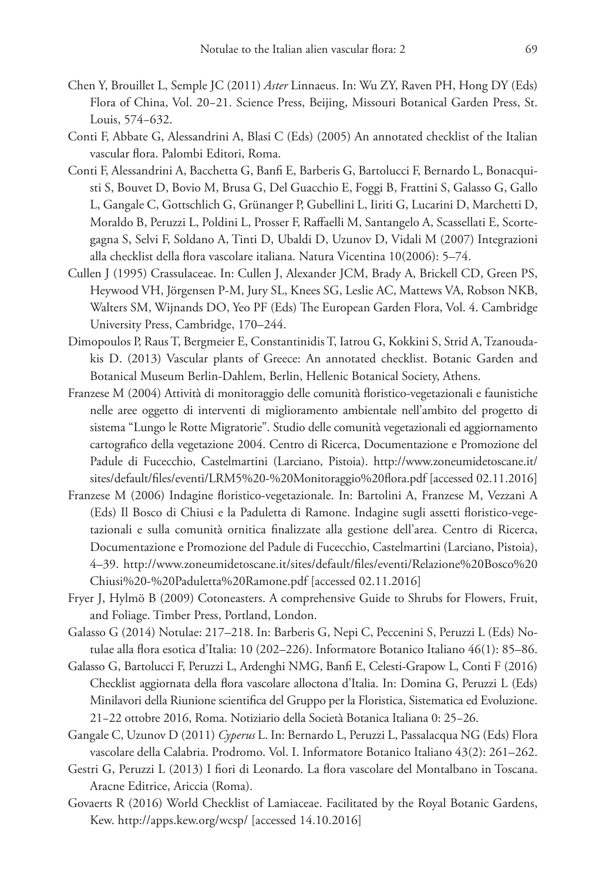- Chen Y, Brouillet L, Semple JC (2011) *Aster* Linnaeus. In: Wu ZY, Raven PH, Hong DY (Eds) Flora of China, Vol. 20−21. Science Press, Beijing, Missouri Botanical Garden Press, St. Louis, 574−632.
- Conti F, Abbate G, Alessandrini A, Blasi C (Eds) (2005) An annotated checklist of the Italian vascular flora. Palombi Editori, Roma.
- Conti F, Alessandrini A, Bacchetta G, Banfi E, Barberis G, Bartolucci F, Bernardo L, Bonacquisti S, Bouvet D, Bovio M, Brusa G, Del Guacchio E, Foggi B, Frattini S, Galasso G, Gallo L, Gangale C, Gottschlich G, Grünanger P, Gubellini L, Iiriti G, Lucarini D, Marchetti D, Moraldo B, Peruzzi L, Poldini L, Prosser F, Raffaelli M, Santangelo A, Scassellati E, Scortegagna S, Selvi F, Soldano A, Tinti D, Ubaldi D, Uzunov D, Vidali M (2007) Integrazioni alla checklist della flora vascolare italiana. Natura Vicentina 10(2006): 5–74.
- Cullen J (1995) Crassulaceae. In: Cullen J, Alexander JCM, Brady A, Brickell CD, Green PS, Heywood VH, Jörgensen P-M, Jury SL, Knees SG, Leslie AC, Mattews VA, Robson NKB, Walters SM, Wijnands DO, Yeo PF (Eds) The European Garden Flora, Vol. 4. Cambridge University Press, Cambridge, 170–244.
- Dimopoulos P, Raus T, Bergmeier E, Constantinidis T, Iatrou G, Kokkini S, Strid A, Tzanoudakis D. (2013) Vascular plants of Greece: An annotated checklist. Botanic Garden and Botanical Museum Berlin-Dahlem, Berlin, Hellenic Botanical Society, Athens.
- Franzese M (2004) Attività di monitoraggio delle comunità floristico-vegetazionali e faunistiche nelle aree oggetto di interventi di miglioramento ambientale nell'ambito del progetto di sistema "Lungo le Rotte Migratorie". Studio delle comunità vegetazionali ed aggiornamento cartografico della vegetazione 2004. Centro di Ricerca, Documentazione e Promozione del Padule di Fucecchio, Castelmartini (Larciano, Pistoia). [http://www.zoneumidetoscane.it/](http://www.zoneumidetoscane.it/sites/default/files/eventi/LRM5%20-%20Monitoraggio%20flora.pdf) [sites/default/files/eventi/LRM5%20-%20Monitoraggio%20flora.pdf](http://www.zoneumidetoscane.it/sites/default/files/eventi/LRM5%20-%20Monitoraggio%20flora.pdf) [accessed 02.11.2016]
- Franzese M (2006) Indagine floristico-vegetazionale. In: Bartolini A, Franzese M, Vezzani A (Eds) Il Bosco di Chiusi e la Paduletta di Ramone. Indagine sugli assetti floristico-vegetazionali e sulla comunità ornitica finalizzate alla gestione dell'area. Centro di Ricerca, Documentazione e Promozione del Padule di Fucecchio, Castelmartini (Larciano, Pistoia), 4–39. [http://www.zoneumidetoscane.it/sites/default/files/eventi/Relazione%20Bosco%20](http://www.zoneumidetoscane.it/sites/default/files/eventi/Relazione%20Bosco%20Chiusi%20-%20Paduletta%20Ramone.pdf) [Chiusi%20-%20Paduletta%20Ramone.pdf](http://www.zoneumidetoscane.it/sites/default/files/eventi/Relazione%20Bosco%20Chiusi%20-%20Paduletta%20Ramone.pdf) [accessed 02.11.2016]
- Fryer J, Hylmö B (2009) Cotoneasters. A comprehensive Guide to Shrubs for Flowers, Fruit, and Foliage. Timber Press, Portland, London.
- Galasso G (2014) Notulae: 217–218. In: Barberis G, Nepi C, Peccenini S, Peruzzi L (Eds) Notulae alla flora esotica d'Italia: 10 (202–226). Informatore Botanico Italiano 46(1): 85–86.
- Galasso G, Bartolucci F, Peruzzi L, Ardenghi NMG, Banfi E, Celesti-Grapow L, Conti F (2016) Checklist aggiornata della flora vascolare alloctona d'Italia. In: Domina G, Peruzzi L (Eds) Minilavori della Riunione scientifica del Gruppo per la Floristica, Sistematica ed Evoluzione. 21−22 ottobre 2016, Roma. Notiziario della Società Botanica Italiana 0: 25−26.
- Gangale C, Uzunov D (2011) *Cyperus* L. In: Bernardo L, Peruzzi L, Passalacqua NG (Eds) Flora vascolare della Calabria. Prodromo. Vol. I. Informatore Botanico Italiano 43(2): 261–262.
- Gestri G, Peruzzi L (2013) I fiori di Leonardo. La flora vascolare del Montalbano in Toscana. Aracne Editrice, Ariccia (Roma).
- Govaerts R (2016) World Checklist of Lamiaceae. Facilitated by the Royal Botanic Gardens, Kew.<http://apps.kew.org/wcsp/>[accessed 14.10.2016]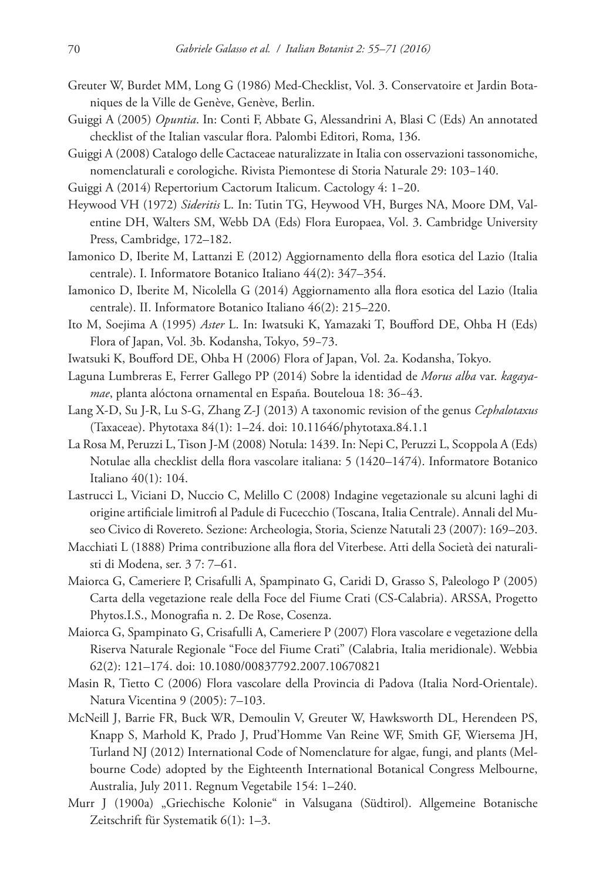- Greuter W, Burdet MM, Long G (1986) Med-Checklist, Vol. 3. Conservatoire et Jardin Botaniques de la Ville de Genève, Genève, Berlin.
- Guiggi A (2005) *Opuntia*. In: Conti F, Abbate G, Alessandrini A, Blasi C (Eds) An annotated checklist of the Italian vascular flora. Palombi Editori, Roma, 136.
- Guiggi A (2008) Catalogo delle Cactaceae naturalizzate in Italia con osservazioni tassonomiche, nomenclaturali e corologiche. Rivista Piemontese di Storia Naturale 29: 103−140.
- Guiggi A (2014) Repertorium Cactorum Italicum. Cactology 4: 1−20.
- Heywood VH (1972) *Sideritis* L. In: Tutin TG, Heywood VH, Burges NA, Moore DM, Valentine DH, Walters SM, Webb DA (Eds) Flora Europaea, Vol. 3. Cambridge University Press, Cambridge, 172–182.
- Iamonico D, Iberite M, Lattanzi E (2012) Aggiornamento della flora esotica del Lazio (Italia centrale). I. Informatore Botanico Italiano 44(2): 347–354.
- Iamonico D, Iberite M, Nicolella G (2014) Aggiornamento alla flora esotica del Lazio (Italia centrale). II. Informatore Botanico Italiano 46(2): 215–220.
- Ito M, Soejima A (1995) *Aster* L. In: Iwatsuki K, Yamazaki T, Boufford DE, Ohba H (Eds) Flora of Japan, Vol. 3b. Kodansha, Tokyo, 59−73.
- Iwatsuki K, Boufford DE, Ohba H (2006) Flora of Japan, Vol. 2a. Kodansha, Tokyo.
- Laguna Lumbreras E, Ferrer Gallego PP (2014) Sobre la identidad de *Morus alba* var. *kagayamae*, planta alóctona ornamental en España. Bouteloua 18: 36−43.
- Lang X-D, Su J-R, Lu S-G, Zhang Z-J (2013) A taxonomic revision of the genus *Cephalotaxus* (Taxaceae). Phytotaxa 84(1): 1–24. [doi: 10.11646/phytotaxa.84.1.1](https://doi.org/10.11646/phytotaxa.84.1.1)
- La Rosa M, Peruzzi L, Tison J-M (2008) Notula: 1439. In: Nepi C, Peruzzi L, Scoppola A (Eds) Notulae alla checklist della flora vascolare italiana: 5 (1420–1474). Informatore Botanico Italiano 40(1): 104.
- Lastrucci L, Viciani D, Nuccio C, Melillo C (2008) Indagine vegetazionale su alcuni laghi di origine artificiale limitrofi al Padule di Fucecchio (Toscana, Italia Centrale). Annali del Museo Civico di Rovereto. Sezione: Archeologia, Storia, Scienze Natutali 23 (2007): 169–203.
- Macchiati L (1888) Prima contribuzione alla flora del Viterbese. Atti della Società dei naturalisti di Modena, ser. 3 7: 7–61.
- Maiorca G, Cameriere P, Crisafulli A, Spampinato G, Caridi D, Grasso S, Paleologo P (2005) Carta della vegetazione reale della Foce del Fiume Crati (CS-Calabria). ARSSA, Progetto Phytos.I.S., Monografia n. 2. De Rose, Cosenza.
- Maiorca G, Spampinato G, Crisafulli A, Cameriere P (2007) Flora vascolare e vegetazione della Riserva Naturale Regionale "Foce del Fiume Crati" (Calabria, Italia meridionale). Webbia 62(2): 121–174. [doi: 10.1080/00837792.2007.10670821](https://doi.org/10.1080/00837792.2007.10670821)
- Masin R, Tietto C (2006) Flora vascolare della Provincia di Padova (Italia Nord-Orientale). Natura Vicentina 9 (2005): 7–103.
- McNeill J, Barrie FR, Buck WR, Demoulin V, Greuter W, Hawksworth DL, Herendeen PS, Knapp S, Marhold K, Prado J, Prud'Homme Van Reine WF, Smith GF, Wiersema JH, Turland NJ (2012) International Code of Nomenclature for algae, fungi, and plants (Melbourne Code) adopted by the Eighteenth International Botanical Congress Melbourne, Australia, July 2011. Regnum Vegetabile 154: 1–240.
- Murr J (1900a) "Griechische Kolonie" in Valsugana (Südtirol). Allgemeine Botanische Zeitschrift für Systematik 6(1): 1–3.